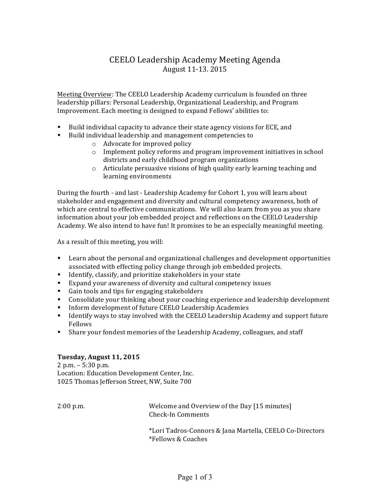## CEELO Leadership Academy Meeting Agenda August 11-13. 2015

Meeting Overview: The CEELO Leadership Academy curriculum is founded on three leadership pillars: Personal Leadership, Organizational Leadership, and Program Improvement. Each meeting is designed to expand Fellows' abilities to:

- **EXECUTE:** Build individual capacity to advance their state agency visions for ECE, and
- Build individual leadership and management competencies to
	- $\circ$  Advocate for improved policy
	- $\circ$  Implement policy reforms and program improvement initiatives in school districts and early childhood program organizations
	- $\circ$  Articulate persuasive visions of high quality early learning teaching and learning environments

During the fourth - and last - Leadership Academy for Cohort 1, you will learn about stakeholder and engagement and diversity and cultural competency awareness, both of which are central to effective communications. We will also learn from you as you share information about your job embedded project and reflections on the CEELO Leadership Academy. We also intend to have fun! It promises to be an especially meaningful meeting.

As a result of this meeting, you will:

- **Exam** about the personal and organizational challenges and development opportunities associated with effecting policy change through job embedded projects.
- Identify, classify, and prioritize stakeholders in your state
- Expand your awareness of diversity and cultural competency issues
- Gain tools and tips for engaging stakeholders
- " Consolidate your thinking about your coaching experience and leadership development
- **IFFORE 1.5 Inform development of future CEELO Leadership Academies**
- **.** Identify ways to stay involved with the CEELO Leadership Academy and support future Fellows
- **Example 1** Share your fondest memories of the Leadership Academy, colleagues, and staff

## **Tuesday, August 11, 2015**

 $2$  p.m.  $-5:30$  p.m. Location: Education Development Center, Inc. 1025 Thomas Jefferson Street, NW, Suite 700

2:00 p.m. Welcome and Overview of the Day [15 minutes] Check-In Comments

> \*Lori Tadros-Connors & Jana Martella, CEELO Co-Directors \*Fellows & Coaches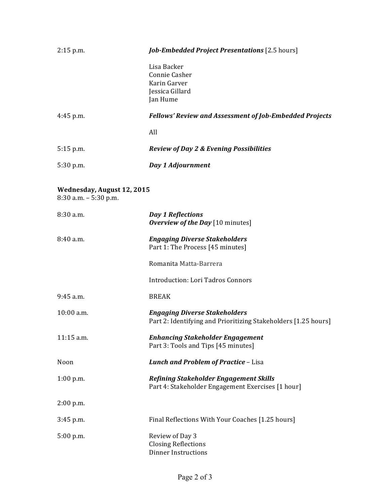| $2:15$ p.m.                                         | <b>Job-Embedded Project Presentations</b> [2.5 hours]                                                  |
|-----------------------------------------------------|--------------------------------------------------------------------------------------------------------|
|                                                     | Lisa Backer<br>Connie Casher<br>Karin Garver<br>Jessica Gillard<br>Jan Hume                            |
| $4:45$ p.m.                                         | <b>Fellows' Review and Assessment of Job-Embedded Projects</b>                                         |
|                                                     | All                                                                                                    |
| $5:15$ p.m.                                         | <b>Review of Day 2 &amp; Evening Possibilities</b>                                                     |
| 5:30 p.m.                                           | Day 1 Adjournment                                                                                      |
| Wednesday, August 12, 2015<br>8:30 a.m. - 5:30 p.m. |                                                                                                        |
| 8:30 a.m.                                           | <b>Day 1 Reflections</b><br>Overview of the Day [10 minutes]                                           |
| 8:40 a.m.                                           | <b>Engaging Diverse Stakeholders</b><br>Part 1: The Process [45 minutes]                               |
|                                                     | Romanita Matta-Barrera                                                                                 |
|                                                     | <b>Introduction: Lori Tadros Connors</b>                                                               |
| 9:45 a.m.                                           | <b>BREAK</b>                                                                                           |
| 10:00 a.m.                                          | <b>Engaging Diverse Stakeholders</b><br>Part 2: Identifying and Prioritizing Stakeholders [1.25 hours] |
| 11:15 a.m.                                          | <b>Enhancing Stakeholder Engagement</b><br>Part 3: Tools and Tips [45 minutes]                         |
| Noon                                                | Lunch and Problem of Practice - Lisa                                                                   |
| $1:00$ p.m.                                         | Refining Stakeholder Engagement Skills<br>Part 4: Stakeholder Engagement Exercises [1 hour]            |
| 2:00 p.m.                                           |                                                                                                        |
| $3:45$ p.m.                                         | Final Reflections With Your Coaches [1.25 hours]                                                       |
| 5:00 p.m.                                           | Review of Day 3<br><b>Closing Reflections</b><br><b>Dinner Instructions</b>                            |